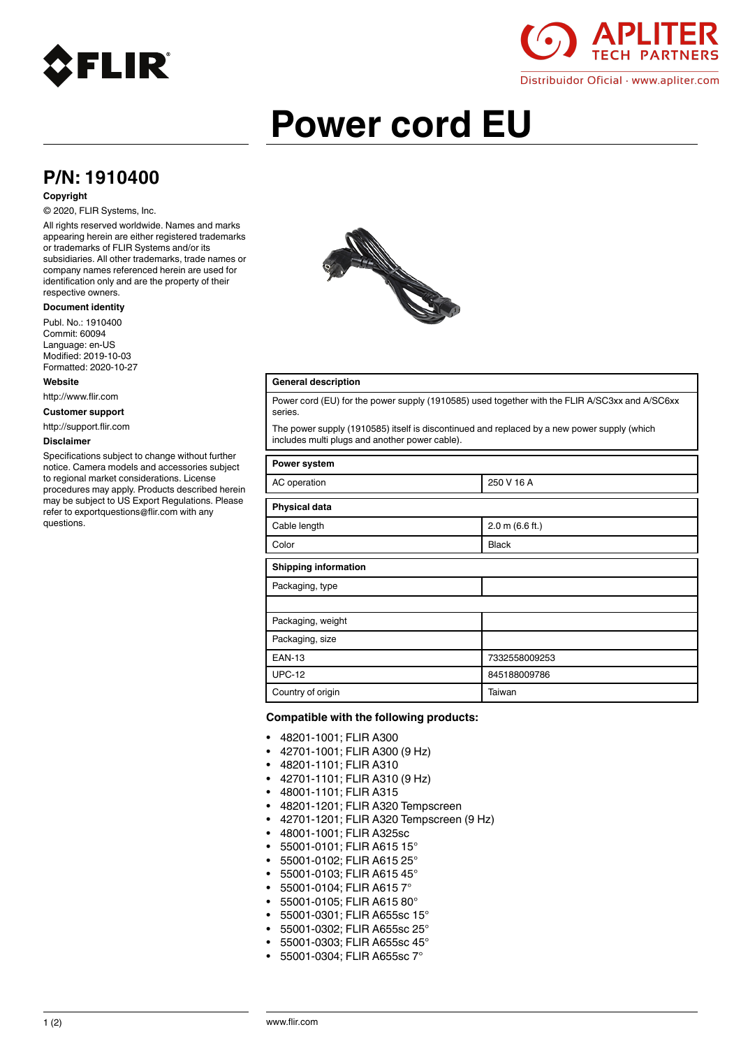



# **Power cord EU**

# **P/N: 1910400**

#### **Copyright**

### © 2020, FLIR Systems, Inc.

All rights reserved worldwide. Names and marks appearing herein are either registered trademarks or trademarks of FLIR Systems and/or its subsidiaries. All other trademarks, trade names or company names referenced herein are used for identification only and are the property of their respective owners.

#### **Document identity**

Publ. No.: 1910400 Commit: 60094 Language: en-US Modified: 2019-10-03 Formatted: 2020-10-27

#### **Website**

http://www.flir.com

**Customer support**

http://support.flir.com

#### **Disclaimer**

Specifications subject to change without further notice. Camera models and accessories subject to regional market considerations. License procedures may apply. Products described herein may be subject to US Export Regulations. Please refer to exportquestions@flir.com with any questions.



## **General description**

Power cord (EU) for the power supply (1910585) used together with the FLIR A/SC3xx and A/SC6xx series.

The power supply (1910585) itself is discontinued and replaced by a new power supply (which includes multi plugs and another power cable).

| Power system                |                 |
|-----------------------------|-----------------|
| AC operation                | 250 V 16 A      |
| <b>Physical data</b>        |                 |
| Cable length                | 2.0 m (6.6 ft.) |
| Color                       | <b>Black</b>    |
| <b>Shipping information</b> |                 |
| Packaging, type             |                 |
|                             |                 |
| Packaging, weight           |                 |
| Packaging, size             |                 |
| <b>EAN-13</b>               | 7332558009253   |
| <b>UPC-12</b>               | 845188009786    |
| Country of origin           | Taiwan          |

#### **Compatible with the following products:**

- 48201-1001; FLIR A300
- 42701-1001; FLIR A300 (9 Hz)
- 48201-1101; FLIR A310
- 42701-1101; FLIR A310 (9 Hz)
- 48001-1101; FLIR A315
- 48201-1201; FLIR A320 Tempscreen
- 42701-1201; FLIR A320 Tempscreen (9 Hz)
- 48001-1001; FLIR A325sc
- 55001-0101; FLIR A615 15°
- 55001-0102; FLIR A615 25°
- 55001-0103; FLIR A615 45°
- 55001-0104; FLIR A615 7°
- 55001-0105; FLIR A615 80°
- 55001-0301; FLIR A655sc 15°
- 55001-0302; FLIR A655sc 25°
- 55001-0303; FLIR A655sc 45°
- 55001-0304; FLIR A655sc 7°